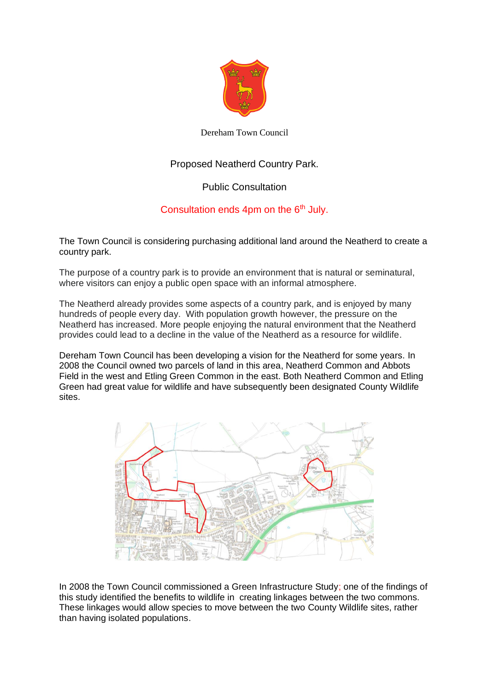

Dereham Town Council

## Proposed Neatherd Country Park.

## Public Consultation

## Consultation ends 4pm on the  $6<sup>th</sup>$  July.

The Town Council is considering purchasing additional land around the Neatherd to create a country park.

The purpose of a country park is to provide an environment that is natural or seminatural, where visitors can enjoy a public open space with an informal atmosphere.

The Neatherd already provides some aspects of a country park, and is enjoyed by many hundreds of people every day. With population growth however, the pressure on the Neatherd has increased. More people enjoying the natural environment that the Neatherd provides could lead to a decline in the value of the Neatherd as a resource for wildlife.

Dereham Town Council has been developing a vision for the Neatherd for some years. In 2008 the Council owned two parcels of land in this area, Neatherd Common and Abbots Field in the west and Etling Green Common in the east. Both Neatherd Common and Etling Green had great value for wildlife and have subsequently been designated County Wildlife sites.



In 2008 the Town Council commissioned a Green Infrastructure Study; one of the findings of this study identified the benefits to wildlife in creating linkages between the two commons. These linkages would allow species to move between the two County Wildlife sites, rather than having isolated populations.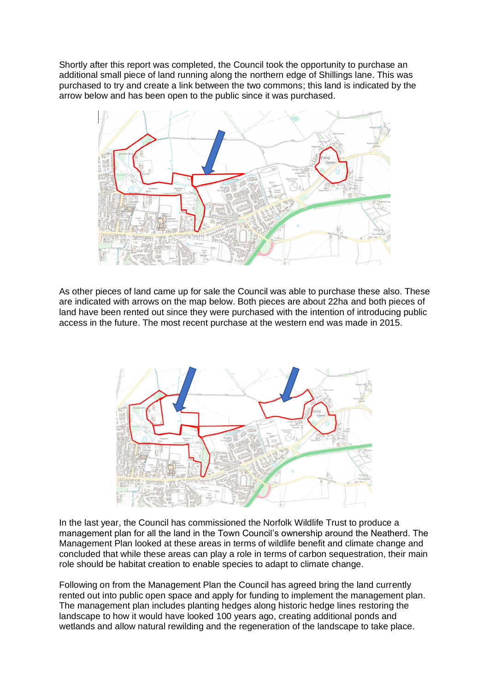Shortly after this report was completed, the Council took the opportunity to purchase an additional small piece of land running along the northern edge of Shillings lane. This was purchased to try and create a link between the two commons; this land is indicated by the arrow below and has been open to the public since it was purchased.



As other pieces of land came up for sale the Council was able to purchase these also. These are indicated with arrows on the map below. Both pieces are about 22ha and both pieces of land have been rented out since they were purchased with the intention of introducing public access in the future. The most recent purchase at the western end was made in 2015.



In the last year, the Council has commissioned the Norfolk Wildlife Trust to produce a management plan for all the land in the Town Council's ownership around the Neatherd. The Management Plan looked at these areas in terms of wildlife benefit and climate change and concluded that while these areas can play a role in terms of carbon sequestration, their main role should be habitat creation to enable species to adapt to climate change.

Following on from the Management Plan the Council has agreed bring the land currently rented out into public open space and apply for funding to implement the management plan. The management plan includes planting hedges along historic hedge lines restoring the landscape to how it would have looked 100 years ago, creating additional ponds and wetlands and allow natural rewilding and the regeneration of the landscape to take place.